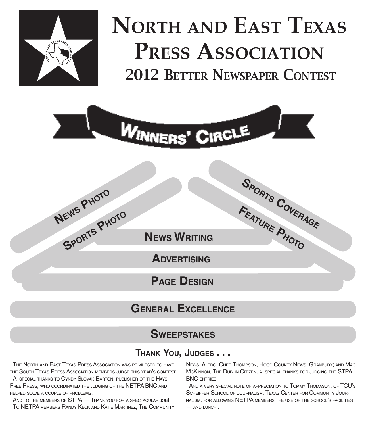

# NORTH AND EAST TEXA<br>PRESS ASSOCIATION<br>2012 BETTER NEWSPAPER CONTEST **NORTH AND EAST TEXAS PRESS ASSOCIATION**



# **GENERAL EXCELLENCE**

# **SWEEPSTAKES**

# **THANK YOU, JUDGES . . .**

THE NORTH AND EAST TEXAS PRESS ASSOCIATION WAS PRIVILEGED TO HAVE THE SOUTH TEXAS PRESS ASSOCIATION MEMBERS JUDGE THIS YEAR'S CONTEST. A SPECIAL THANKS TO CYNDY SLOVAK-BARTON, PUBLISHER OF THE HAYS FREE PRESS, WHO COORDINATED THE JUDGING OF THE NETPA BNC AND HELPED SOLVE <sup>A</sup> COUPLE OF PROBLEMS.

AND TO THE MEMBERS OF **STPA - THANK YOU FOR A SPECTACULAR JOB!** TO NETPA MEMBERS RANDY KECK AND KATIE MARTINEZ, THE COMMUNITY

NEWS, ALEDO; CHER THOMPSON, HOOD COUNTY NEWS, GRANBURY; AND MAC MCKINNON, THE DUBLIN CITIZEN, A SPECIAL THANKS FOR JUDGING THE STPA BNC ENTRIES.

AND <sup>A</sup> VERY SPECIAL NOTE OF APPRECIATION TO TOMMY THOMASON, OF TCU'S SCHEIFFER SCHOOL OF JOURNALISM, TEXAS CENTER FOR COMMUNITY JOUR-NALISM, FOR ALLOWING NETPA MEMBERS THE USE OF THE SCHOOL'S FACILITIES  $-$  AND LUNCH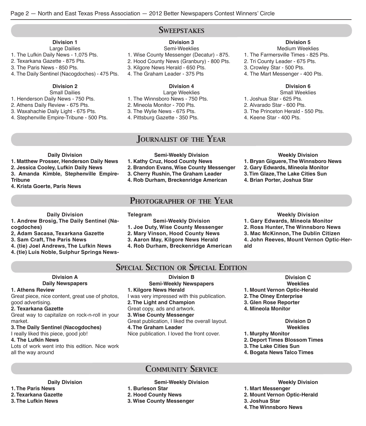### **SWEEPSTAKES**

### **Division 1**

- Large Dailies 1. The Lufkin Daily News - 1,075 Pts.
- 2. Texarkana Gazette 875 Pts.
- 3. The Paris News 850 Pts.
- 4. The Daily Sentinel (Nacogdoches) 475 Pts.

### **Division 2**

- Small Dailies
- 1. Henderson Daily News 750 Pts.
- 2. Athens Daily Review 675 Pts.
- 3. Waxahachie Daily Light 675 Pts.
- 4. Stephenville Empire-Tribune 500 Pts.

### **Division 3**

- Semi-Weeklies 1. Wise County Messenger (Decatur) - 875. 2. Hood County News (Granbury) - 800 Pts. 3. Kilgore News Herald - 650 Pts. 4. The Graham Leader - 375 Pts
	-

### **Division 4**

Large Weeklies 1. The Winnsboro News - 750 Pts. 2. Mineola Monitor - 700 Pts. 3. The Wylie News - 675 Pts. 4. Pittsburg Gazette - 350 Pts.

### JOURNALIST OF THE YEAR

### **Daily Division**

- **1. Matthew Prosser, Henderson Daily News**
- **2. Jessica Cooley, Lufkin Daily News**
- **3. Amanda Kimble, Stephenville Empire-**
- **Tribune**
- **4. Krista Goerte, Paris News**
- **Semi-Weekly Division 1. Kathy Cruz, Hood County News**
- **2. Brandon Evans, Wise County Messenger**
- 
- **4. Rob Durham, Breckenridge American**

### PHOTOGRAPHER OF THE YEAR

### **Daily Division**

**1. Andrew Brosig, The Daily Sentinel (Nacogdoches)** 

- **2, Adam Sacasa, Texarkana Gazette**
- **3. Sam Craft, The Paris News**
- **4. (tie) Joel Andrews, The Lufkin News**
- **4. (tie) Luis Noble, Sulphur Springs News-**

- **2. Mary Vinson, Hood County News**
- **3. Aaron May, Kilgore News Herald**
- **4. Rob Durham, Breckenridge American**

### **Weekly Division**

- **1. Gary Edwards, Mineola Monitor**
- **2. Ross Hunter, The Winnsboro News**
- **3. Mac McKinnon, The Dublin Citizen**
- **4. John Reeves, Mount Vernon Optic-Her-**
- **ald**
- SPECIAL SECTION OR SPECIAL EDITION

### **Division A Daily Newspapers**

### **1. Athens Review**

Great piece, nice content, great use of photos, good advertising.

### **2. Texarkana Gazette**

Great way to capitalize on rock-n-roll in your market.

### **3. The Daily Sentinel (Nacogdoches)**

#### I really liked this piece, good job! **4. The Lufkin News**

Lots of work went into this edition. Nice work all the way around

### **Division B Semi-Weekly Newspapers 1. Kilgore News Herald** I was very impressed with this publication. **2. The Light and Champion** Great copy, ads and artwork. **3. Wise County Messenger** Great publication, I liked the overall layout. **4. The Graham Leader** Nice publication. I loved the front cover.

**Division C Weeklies 1. Mount Vernon Optic-Herald**

- **2. The Olney Enterprise**
- **3. Glen Rose Reporter**
- **4. Mineola Monitor**

#### **Division D Weeklies**

- **1. Murphy Monitor**
- **2. Deport Times Blossom Times**
- **3. The Lake Cities Sun**
- **4. Bogata News Talco Times**

### **Daily Division 1. The Paris News 2. Texarkana Gazette**

**3. The Lufkin News**

**Semi-Weekly Division**

**COMMUNITY SERVICE** 

**2. Hood County News**

**1. Burleson Star**

**3. Wise County Messenger**

**Weekly Division**

- **1. Mart Messenger**
- **2. Mount Vernon Optic-Herald**
- **3. Joshua Star**
- **4. The Winnsboro News**

**Weekly Division**

- **1. Bryan Giguere, The Winnsboro News**
- **2. Gary Edwards, Mineola Monitor**
- **3. Tim Glaze, The Lake Cities Sun**
- **4. Brian Porter, Joshua Star**
- **3. Cherry Rushin, The Graham Leader**

# **Telegram**

**Semi-Weekly Division**

- **1. Joe Duty, Wise County Messenger**
- 
- 

### **Division 5**

- Medium Weeklies
- 1. The Farmersville Times 825 Pts.
- 2. Tri County Leader 675 Pts.
- 3. Crowley Star 500 Pts.
- 4. The Mart Messenger 400 Pts.

### **Division 6**

- Small Weeklies
- 1. Joshua Star 625 Pts.
- 2. Alvarado Star 600 Pts.
- 3. The Princeton Herald 550 Pts.
- 4. Keene Star 400 Pts.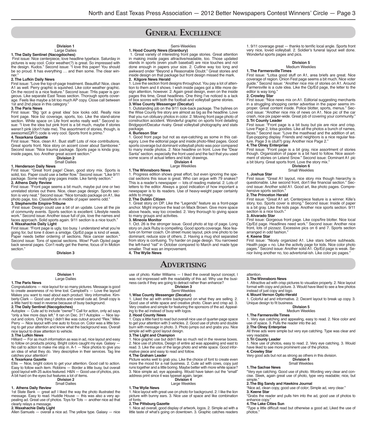# GENERAL EXCELLENCE

#### **Division 1** Large Dailies

### **1. The Daily Sentinel (Nacogdoches)**

First issue: Nice centerpiece, love headline typeface. Saturday in pictures is way cool. Color weather(?) is great. So impressed with the design. Kudos." Second issue: "I love this paper! You should be so proud. It has everything … and then some. The clear winner."

#### **2. The Lufkin Daily News**

First issue: "Love the top-of-page treatment. Beautiful! Nice, clean A1 as well. Perry graphic is squished. Like color weather graphic. On the record is a nice feature." Second issue: THis paper is gorgeous. Like separate East Texas section. Thorough sports coverage. Feels like maybe a bit too much AP copy. Close call between 1st and 2nd place in this category."

#### **3. The Paris News**

First issue: "Big 'got a great idea' box looks odd. Really nice front page. Nice biz coverage, sports, too. Like the stand-alone section. White space on Life front works really well." Second issue: "I love the idea but pink front is a bit much, maybe if stories weren't pink (don't hate me). The assortment of stories, though, is awesome(QR?) code is very cool. Sports front is primo."

#### **4. Texarkana Gazette**

First issue: "Nice, clean A1. Bust staff! Lots of nice contributions. Great sports front. Nice story on accent cover about Samboree." Second issue: "Nice trauma package. Sports page is kinda gray, inside pages, too. Another great accent section."

#### **Division 2**

Small Dailies

#### **1. Henderson Daily News**

First issue: "Great front page! Clean, good story mix. Sports is solid, too. Paper could use a better flow." Second issue: "Like 9/11 package. Some really gray pages inside. Like family section." **2. Athens Daily Review**

First issue: "Front page seems a bit much, maybe put one or two unrelated stories out there. Nice, clean page design. Sports section is very neat." Second issue: "Nice tornado package on A1, like photo page, too. Classifieds in middle of paper seems odd." **3. Stephenville Empire-Tribune**

 First issue: Design could use a bit of an update. Love all the pix of community events. Sports section is excellent. Lifestyle needs work." Second issue: Another issue full of pix, love the names and faces approach. Solid sports again. 9/11 section is a nice touch." **4. Waxahachie Daily Light**

First issue: "Front page is ugly, too busy. I understand what you're going for, but tone it down a smidge. Op/Ed page is kind of weak. Paper needs better ordering of sections. Nice cancer section." Second issue: Tons of special sections. Wow! Push Op/ed page back several pages. Con't really get the theme, focus of In Motion section."

**Division 3**

#### **Division 1** Large Dailies

**1. The Paris News** Congratulations — nice layout for so many pictures. Message is good to create awareness of no time lost. Campbell's — Love the layout! Makes you want to read about each product. Very informative. Kimberly-Clark — Good use of photos and overall cute ad. Small copy is a little hard to read in reverse because of busy background.

#### **2. The Daily Sentinel (Nacogdoches)**

Autoplex — Cute ad to include "owner"? Call for action, only ad says "only a few more days left." It ran on Dec. 31? Autoplex — Nice layout and colors. Only thing I didn't like was cutout around "Rex." Mike Perry — Nice layout with one auto to focus on. Color was a little boring to get your attention and know what the background was. Overall nice layout to draw attention to vehicle.

#### **3. The Lufkin News**

Hilliard — For as much information as was in ad, nice layout and easy to follow on products pricing. Bright colors caught my eye. Galaxy -No call to action to make me stop in.  $A-1$  – Nice photos to give you an idea of what they do. Very descriptive in their services. Tag line catches your attention!

#### **4. Texarkana Gazette**

Ellis — Nice, bright colors to get your attention. Good call to action. Easy to follow each item. Robbins — Border a little busy, but overall good layout with 25 autos featured. H&N — Good use of photos, pics. A bit hard on the eyes but features a lot of items.

#### **Division 2**

Small Dailies

#### **1. Athens Daily Review**

1st State Bank — great ad! I liked the way the photo illustrated the message. Easy to read. Huddle House — this was also a very appealing ad. Great use of photos. Toys for Tots — another nice ad that

### clearly relays a message. **2. Waxahachie Daily Light**

Allen Samuels — overall a nice ad. The yellow type. Galaxy — nice

#### Semi-Weeklies

### **1. Hood County News (Granbury)**

 1. Great variety of interesting front page stories. Great attention in making inside pages attractive/readable, too. Those updated stands in sports (even youth baseball) are nice touches and not done enough in papers your size. 2. Cutline way too long and awkward onder "Beyond a Reasonable Doubt." Great stories and inside design on that package but front design missed the mark. **2. Kilgore News Herald**

1. Love the section front designs throughout. You pay a lot of attention to them and it shows. I wish inside pages got a little more design attention, however. 2. Again great design, even on the inside pages this time, Great headlines. One thing I've noticed is a lack of box scores with both the football and volleyball game stories.

#### **3. Wise County Messenger (Decatur)**

1. Outstanding job on the 9/11 look-back package. The bylines on the Wise County re story are almost as big as the headline. Love that you run obituary photos in color. 2. Moving front page photo of construction accident. Wonderful graphic on sports front detailing Bridgeport/Decatur rivalry. Great volleyball photography and stats package.

#### **4. Burleson Star**

1. Good front page but not as eye-catching as some in this category. Love the editorial page and inside photo-filled pages. Good sports coverage but dominant volleyball photo was poor compared to many inside photos. 2. Nice headline on front. Love the "Dear Santa" section, especially the front used and the fact that you used some scans of actual letters and kids' drawings.

#### **Division 4** Large Weeklies

#### **1. The Winnsboro News**

1. Progress edition shows great effort, but even ignoring the special sections this issue is great. Who can argue with 79 snakes? This is a reader's newspaper — lots of reading material. 2. Lots of letters to the editor. Always a good indication of how important a newspaper is to its readers. Use of heavy-weight paper certainly adds to image.

#### **2. The Dublin Citizen**

1. Great story on DP. Like the "Legends" feature as a front-page anchor. Might improve the lead on Mack Brown. Give more space above heads, way too crowded. 2. Very thorough to giving space to many groups and activities.

#### **3. Mineola Monitor**

1. Oct. 26 is the stronger issue. Good photo at top of page. Long story on Jack Ruby is compelling. Good sports coverage. Nice feature on former coach. On street music layout, pick one photo to be dominant, reduce size of others. 2. Having a mug shot separated from story is confusing. Try harder on page design. You narrowed the left-hand "rail" in October compared to March and made type smaller. That was an improvement.

**4. The Wylie News**

### **ADVERTISING**

use of photo. Keller Williams — I liked the overall layout concept, I was not impressed with the readability of this ad. Why use the business cards if they are going to detract rather than enhance?

**Division 3** Semi-Weeklies

#### **1. Wise County Messenger (Decatur)**

1. Liked the ad with entire background on what they are selling. 2. Good use of white space and creative photo. Clean and crisp ad. 3. Very creative and simple for featuring the sponsors of the ad. Appealing to the ad instead of busy with logos.

#### **2. Hood County News**

1. Copy a little hard to read but overall nice use of quarter-page space to get your attention with 3 vehicles. 2. Good use of photo and double burn with message in photo. 3. Photo jumps out and grabs you. Nice simple ad with good layout design.

#### **3. The Light and Champion**

1. Nice graphic use but didn't like so much red in the reverse boxes. 2. Nice use of photos, Design of entire ad was appealing and east to read. 3. Like the use of the large photo and white space. Good informative piece and easy to read and follow.

#### **4. The Graham Leader**

Picture works well to grab you. Like the choice of font to create even more the mood for a nail business. 2. Cute ad with cows, copy just runs together and a little boring. Maybe better with more white space? 3. Nice simple ad, eye appealing. Would have taken out the "small" address print since it was typeset again, larger.

#### **Division 4** Large Weeklies

1. Nice layout with great use on photo for background. 2. I like the lion picture with bunny ears. 3. Nice use of space and like combination of fonts.

#### **2. The Pittsburg Gazette**

**1. The Wylie News**

1. Nice ad overall, good display of artwork, logos. 2. Simple ad with a little taste of what's going on downtown. 3. Graphic catches readers

1. 9/11 coverage great — thanks to terrific local angle. Sports front very nice, loved volleyball. 2. Soldier's funeral layout well done. Wonderful sports pages and pics.

#### **Division 5** Medium Weeklies

#### **1. The Farmersville Times**

First issue: "Lotsa good stuff on A1, area briefs are great. Nice coverage of region. Onion Fest page seems a bit much. Nice voter guide." Second issue: "Another nice mix of stories on A1. Around Farmersville is a cute idea. Like the Op/Ed page, the letter to the editor is way long."

#### **2. Crowley Star**

First issue: "Nice news mix on A1. Editorial suggesting merchants in a struggling shopping center advertise in the paper seems improper. Great content inside. Police blotter, sports, menus." Second issue: "Another nice mix of news on A1. Nice pic of the car crash, nice pix paper-wide. Great job of covering your community." **3. Tri County Leader**

First issue: "Front page is a bit busy but pix are nice and crisp. Love Page 2, lotsa goodies. Like all the photos a bunch of names, faces." Second isue: "Love the masthead and the addition of art. Eye-popping display. Friends and neighbors is a nice regular feature. Page 3 is (dull?) gray. Another nice Page 2."

#### **4. The Olney Enterprise**

First issue: "Front page is a bit gray, nice assortment of stories though. Organization of paper is a bit hard to follow. Nice assortment of stories on Leland Snow." Second issue: Dominant A1 pic a bit blurry. Great sports front. Love the story mix."

#### **Division 6**

#### Small Weeklies

#### **1. Joshua Star**

First issue: "Great A1 layout, nice story mix though hierarchy is questionable. Like second front, don't like financial section." Second issue: Another solid A1. Good art, like photo pages. Comprehensive sports section.

#### **2. The Princeton Herald**

First issue: "Great A1 art. Centerpiece feature is a winner. Kille's story, too. Sports cover is strong." Second issue: Inside of paper is a bit gray. Like the kids page. Another nice sports section. 9/11 section is a nice touch."

#### **3. Alvarado Star**

First issue: Gorgeous front page. Like cops/fire blotter. Nice local Op/Ed page. Headlines need work." Second issue: Another nice front, lots of pizzazz. Excessive pics on 6 and 7. Sports section arranged in odd fashion."

#### **4. Keene Star**

First issue: "Nicely organized A1. Like stars before subheads. Health page = no. Like the activity page for kids. Nice color photo pages." Second issue: Another solid A1. Op/Ed page is weak. Senior living another no, too advertorial-ish. Like color pic pages."

#### attention.

**3. The Winnsboro News**

1. Attractive ad with crisp pictures to visualize property. 2. Nice layout format with copy and picture. 3. Would have liked to see a few photos instead of just copy and logo.

#### **4. Mount Vernon Optic-Herald**

1. Colorful ad and informative. 2. Decent layout to break up copy. 3. Unique design to fit business.

#### **Division 5**

#### Medium Weeklies

**1. The Farmersville Times** 1. Very eye catching and appealing, easy to read. 2. Nice color and use of space. 3. Pulls the reader into the ad.

#### **2. The Olney Enterprise**

All three ads were simple but very eye catching. Type was clear and very readable.

#### **3. Tri County Leader**

1. Nice use of photos, easy to read. 2. Very eye catching. 3. Would have liked to see more prominent use of the photos.

cise. Sleek, again great use of photo, type very readable; nice, but

"Grabs the reader and pulls him into the ad, good use of photos to

Type a little difficult read but otherwise a good ad; Liked the use of

#### **4. Crowley Star**

Very good ads but not as strong as others in this division. **Division 6**

#### Small Weeklies

"Nice ad, clean copy, good use of color; Simple ad, very clear."

#### **1. The Sachse News** "Very eye catching. Good use of photo. Wording very clear and con-

**2. The Big Sandy and Hawkins Journal**

simple

photos."

**3. Keene Star**

enhance copy. **4. The Lake Cities Sun**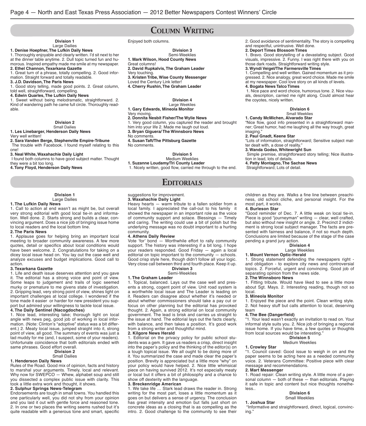### COLUMN WRITING

#### **Division 1** Large Dailies

**1. Denise Hoepfner, The Lufkin Daily News**

1. Thoroughly enjoyable and clearly written. I'd sit next to her at the dinner table anytime. 2. Dull topic turned fun and humorous. Inspired empathy made me smile at my newspaper.

**2. Ethel Channon, Texarkana Gazette** 1. Great turn of a phrase, totally compelling. 2. Good infor-

### mation. Straight forward and totally readable.

**3. J.D. Davidson, The Paris News**

1. Good story telling, made good points. 2. Great column, told well, straightforward, compelling.

**4. Edwin Quarles, The Lufkin Daily News**

1. Sweet without being melodramatic, straightforward. 2. Kind of wandering path he came full circle. Thoroughly readable.

#### **Division 2** Small Dailies

**1. Les Linebarger, Henderson Daily News** Very well written!

**2. Sara Vanden Berge, Stephenville Empire-Tribune** The trouble with Facebook. I found myself relating to this one!

**3. Neal White, Waxahachie Daily Light**

 I found both columns to have good subject matter. Thought they were a bit too long.

**4. Tony Floyd, Henderson Daily News**

Enjoyed both columns.

**Division 3** Semi-Weeklies **1. Mark Wilson, Hood County News** Great columns! **2. David Rupkalvis, The Graham Leader** Very touching. **3. Kristen Tribe, Wise County Messenger**  Loved the Century Link letter! **4. Cherry Rushin, The Graham Leader**

> **Division 4** Large Weeklies

#### **1. Gary Edwards, Mineola Monitor** Very moving.

#### **2. Donnita Nesbit Fisher/The Wylie News**

1. Very good column, you captured the reader and brought him into your life 2. Made me laugh out loud.

**3. Bryan Giguera/ The Winnsboro News**

No comments.

**4. Susan Taft/The Pittsburg Gazette**

No comments.

#### **Division 5**

Medium Weeklies **1. Suzanne Loudamy/Tri County Leader**

1. Nicely written, good flow, carried me through to the end.

### **EDITORIALS**

#### suggestions for improvement. **3. Waxahachie Daily Light**

Heavy hearts — warm tribute to a fallen soldier from a local family. I appreciated the call-out to his family it showed the newspaper in an important role as the voice of community support and solace. Blessings — Timely and caring. The writing could use a bit of polish but the underlying message was no doubt important to a hurting community.

#### **4. Athens Daily Review**

Vote 'for' bond — Worthwhile effort to rally community support. The history was interesting if a bit long. I hope your readers responded. Good Friday — again a local editorial on topic important to the community — schools. Good crisp style here, though didn't follow all your logic. Very close call between third and fourth place. Keep it up. **Division 3**

#### Semi-Weeklies

#### **1. The Graham Leader**

1. Topical, balanced. Lays out the case well and presents a strong, cogent point of view. Unit road system is a worthwhile local issue and The Leader is leading on it. Readers can disagree about whether it's needed or about whether commissioners should take a pay cut or focus on other planning but the editorial has provoked thought. 2. Again, a strong editorial on local community government. The lead is brisk and carries us straight to the issue at hand. The editorial lays out the facts clearly, with balance, and then takes a position. It's good work from a strong writer and thoughtful mind.

**2. Kilgore News Herald**

1. Editorial on the privacy policy for public school students was a gem. It gave us readers a crisp, direct insight into the paper's policy and the thinking of the editor(s) on a tough topical issue. We all ought to be doing more of it. You summarized the case and made clear the paper's position. Brevity is appreciated but a little more "why" on your policy would have helped. 2. Nice little whimsical piece on having survived 2012. It's not especially meaty or local but it offers a bit of philosophy and a chance to show off dexterity with the language.

### **3. Breckenridge American**

1. We take life … Stark lead draws the reader in. Strong writing for the most part, loses a little momentum as it goes on but delivers a sense of urgency. The conclusion has great intensity and emotion but falls just short on concrete ideas as a closing that is as compelling as the intro. 2. Good challenge to the community to see their

2. Good avoidance of sentimentality. The story is compelling and respectful, unintrusive. Well done.

#### **2. Deport Times Blossom Times**

1. Bravo. Good storytelling of a devastating subject. Good visuals, impressive. 2. Funny. I was right there with you on those dark roads. Straightforward writing style.

**3. Wyndi Veigel/The Farmersville Times** 1. Compelling and well written. Gained momentum as it pro-

gressed. 2. Nice analogy, great word choice. Made me smile at my newspaper. Cool love story on all kinds of levels.

#### **4. Bogata News Talco Times**

 1. Nice pace and word choice, humorous tone. 2. Nice visuals, description, carried me right along. Could almost hear the coyotes, nicely written.

#### **Division 6** Small Weeklies

**1. Candy McMichen, Alvarado Star**

"Nice flow, good info presented in a straightforward manner; Great humor, had me laughing all the way trough, great imaging.

#### **2. Paul Gnadt, Keene Star**

"Lots of information, straightforward; Sensitive subject matter dealt with, a dose of reality."

**3. Wanda Godso, Whitewright Sun** 

 Simple premise, straightforward story telling; Nice illustration in lead, lots of details.

**4. Patty Montagno, The Sachse News** 

Straightforward; Lots of detail.

children as they are. Walks a fine line between preachiness, old school cliche, and personal insight. For the most part, it works.

#### **4. Burleson Star**

"Good reminder of Dec. 7. A little weak on local tie-in. Piece is good "journeyman" writing — clear, well crafted, but also without new insight or angle. 2. Precinct 2 indictment is strong local subject manager. The facts are presented with fairness and balance, if not so much depth. Conclusions are limited because of the stage of the case pending a grand jury action.

#### **Division 4**

#### Large Weeklies

**1. Mount Vernon Optic-Herald**

1. Strong statement defending the newspapers right and obligation - to explore city news and controversial topics. 2. Forceful, urgent and convincing. Good job of separating opinion from the news side.

#### **2. The Winnsboro News**

1. Fitting tribute. Would have liked to see a little more about Sgt. Mays. 2. Interesting reading, though not so local.

#### **3. Mineola Monitor**

1. Enjoyed the piece and the point. Clean writing style. 2. Not heavy stuff but calls attention to local, deserving team

#### **4. The Bee (Dangerfield)**

"1. Your lead wasn't exactly an invitation to read on. Your informal style suits you. 2. Nice job of bringing a regional issue home. If you have time, a few quotes or thoughts from local sources would be interesting."

#### **Division 5** Medium Weeklies

#### **1. Crowley Star**

"1. Council caved: Good issue to weigh in on and the paper seems to be acting here as a needed community voice. 2. Veterans Committee: Positive piece with clear message and recommendations.

#### **2. Mart Messenger**

1. Road repair: Clean writing style. A little more of a personal column — both of these — than editorials. Playing it safe in topic and content but nice thoughts nonetheless..

> **Division 6** Small Weeklies

#### **1. Joshua Star**

 "Informative and straightforward, direct, logical, convincing."

#### Large Dailies

**1. The Lufkin Daily News** 1. Call to action at end wasn't as might be, but overall very strong editorial with good local tie-in and information. Well done. 2. Starts strong and builds a clear, convincing argument. Does a nice job of bringing issue home to local readers and the local bottom line.

**Division 1**

#### **2. The Paris News**

1. Applause goes for helping bring an important local meeting to broader community awareness. A few more quotes, detail or specifics about local conditions would have been welcome. 2. Congratulations for taking on a dicey local issue head on. You lay out the case well and analyze excuses and budget implications. Good call to action.

#### **3. Texarkana Gazette**

1. Life and death issue deserves attention and you gave it. The editorial has a strong voice and point of view. Some leaps to judgement and trails of logic seemed murky or premature to me givens state of investigation. 2. Gripping lead, very strong point of view, shines light on important challenges at local college. I wondered if the tone made it easier or harder for new president you support but admired your willingness to tackle local issue. **4. The Daily Sentinel (Nacogdoches)**

1. Nice lead, interesting take; thorough light on local angle with news peg, good job of working in local information. (Note: Clinton's "adoptive" status was a bit different.) 2. Meaty local issue, jumped straight into it, strong point of view, all good. The summary of events was just a tad muddy for me (and, I suspect, some of your readers). Unfortunate coincidence that both editorials ended with same phrases. Good effort overall.

#### **Division 2** Small Dailies

#### **1. Henderson Daily News**

Rules of the Road. Good mix of opinion, facts and history to marshal your arguments. Timely, local and relevant. Why now for SWEPCO — Whew, alphabet soup and still you dissected a complex public issue with clarity. This took a little extra work and thought, it shows.

#### **2. Sulphur Springs News-Telegram**

Endorsements are tough in small towns. You handled this one particularly well, you did not shy from your opinion and you laid it out with gentle force and reasoned tone. 2. In one or two places the writing seems rushed but it's quite readable with a generous tone and smart, specific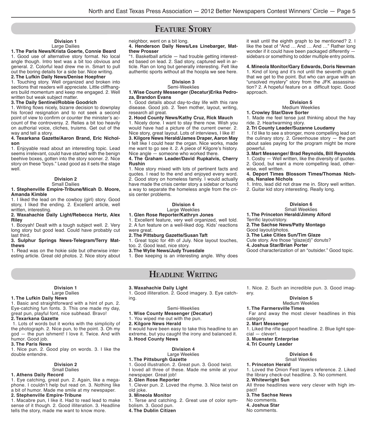# **FEATURE STORY**

#### **Division 1** Large Dailies

### **1. The Paris News/Krista Goerte, Connie Beard**

1. Good use of alternative story format. No local angle though. Intro text was a bit too obvious and general. 2. Colorful lead drew me in. Smart to pull out the boring details for a side bar. Nice writing.

#### **2. The Lufkin Daily News/Denise Hoepfner**

1. Touching story. Well organized and broken into sections that readers will appreciate. Little cliffhangers build momentum and keep me engaged. 2. Well written but weak subject matter.

#### **3. The Daily Sentinel/Robbie Goodrich**

1. Writing flows nicely, bizarre decision to downplay his forced resignation and to not seek a second point of view to confirm or counter the minister's account of the controversy. 2. Relies a bit too heavily on authorial voice, cliches, truisms. Get out of the way and tell a story.

#### **4. Texarkana Gazette/Aaron Brand, Eric Nicholson**

1. Enjoyable read about an interesting topic. Lead seems irrelevant, could have started with the benign beehive boxes, gotten into the story sooner. 2. Nice story on these "boys." Lead good as it sets the stage well.

### **Division 2**

#### Small Dailies **1. Stephenville Empire-Tribune/Micah D. Moore, Amanda Kimble**

1. I liked the lead on the cowboy (girl) story. Good story, I liked the ending. 2. Excellent article, well written, interesting.

#### **2. Waxahachie Daily Light/Rebecca Hertz, Alex Riley**

1. Booyah! Dealt with a tough subject well. 2. Very long story but good lead. Could have probably cut last third.

#### **3. Sulphur Springs News-Telegram/Terry Matthews**

1. Read was on the hokie side but otherwise interesting article. Great old photos. 2. Nice story about

> **Division 1** Large Dailies

1. Basic and straightforward with a hint of pun. 2. Eye-catching fun fonts. 3. This one made my day, great pun, playful font, nice subhead. Bravo!

 1. Lots of words but it works with the simplicity of the photograph. 2. Nice pun, to the point. 3. Oh my god — the pun ishment! I love it. Twice. And with

1. Nice pun. 2. Good play on words. 3. I like the

**Division 2** Small Dailies

1. Eye catching, great pun. 2. Again, like a megaphone. I couldn't help but read on. 3. Nothing like a bit of humor. Made me smile at my newspaper.

1. Macabre pun, I like it. Had to read lead to make sense of it though. 2. Good illiteration. 3. Headline tells the story, made me want to know more.

**1. The Lufkin Daily News**

**2. Texarkana Gazette**

humor. Good job. **3. The Paris News**

double entendre.

**1. Athens Daily Record**

**2. Stephenville Empire-Tribune**

#### neighbor, went on a bit long.

#### **4. Henderson Daily News/Les Linebarger, Matthew Prosser**

"1. Basketball article — had trouble getting interested based on lead. 2. Sad story, captured well in article. Ran on long but generally interesting. Felt like authentic sports without all the hoopla we see here.

#### **Division 3** Semi-Weeklies

#### **1. Wise County Messenger (Decatur)Erika Pedroza, Brandon Evans**

1. Good details about day-to-day life with this rare disease. Good job. 2. Teen mother, layout, writing, research all great.

#### **2. Hood County News/Kathy Cruz, Rick Mauch**

1. Nicely done. I want to stay there now. Wish you would have had a picture of the current owner. 2. Nice story, great layout. Lots of interviews, I like it!

**3. Kilgore News Herald/James Draper, Aaron May** I felt like I could hear the organ. Nice works, made me want to go see it. 2. A piece of Kilgore's history. Nice angle — someone who worked there.

#### **4. The Graham Leader/David Rupkalvis, Cherry Rushin**

1. Nice story mixed with lots of pertinent facts and quotes. I read to the end and enjoyed every word. 2. Good story on homeless family. I would actually have made the crisis center story a sidebar or found a way to separate the homeless angle from the crisis center problems.

#### **Division 4** Large Weeklies

### **1. Glen Rose Reporter/Kathryn Jones**

1. Excellent feature, very well organized, well told. 2. A fun feature on a well-liked dog. Kids' reactions were great.

**2. The Pittsburg Gazette/Susan Taft**

1. Great topic for 4th of July. Nice layout touches, too. 2. Good lead, nice story.

**3. The Wylie News/Judy Truesdale**

1. Bee keeping is an interesting angle. Why does

### HEADLINE WRITING

#### **3. Waxahachie Daily Light**

1. Good illiteration. 2. Good imagery. 3. Eye catching.

#### Semi-Weeklies

#### **1. Wise County Messenger (Decatur)**

1. You wiped me out with the pun.

#### **2. Kilgore News Herald**

It would have been easy to take this headline to an extreme, but you caught the irony and balanced it. **3. Hood County News**

### **Division 4**

### Large Weeklies

**1. The Pittsburgh Gazette**

- 1. Good illustration. 2. Great pun. 3. Good twist.
- I loved all three of these. Made me smile at your

#### newspaper. Great job! **2. Glen Rose Reporter**

1. Clever pun. 2. Loved the rhyme. 3. Nice twist on old joke.

#### **3. Mineola Monitor**

1. Terse and catching. 2. Great use of color symbolism. 3. Good pun.

#### **4. The Dublin Citizen**

it wait until the eighth graph to be mentioned? 2. I like the beat of "And … And … And …" Rather long wonder if it could have been packaged differently sidebars or something to odder multiple entry points.

#### **4. Mineola Monitor/Gary Edwards, Doris Newman**

1. Kind of long and it's not until the seventh graph that we get to the point. But who can argue with an "unsolved mystery" story from the JFK assassination? 2. A hopeful feature on a difficult topic. Good approach.

#### **Division 5**

#### Medium Weeklies

**1. Crowley Star/Dave Sorter**

1. Made me feel tense just thinking about the hay ride. 2. Heartwarming story.

#### **2. Tri County Leader/Suzanne Loudamy**

1. I'd like to see a stronger, more compelling lead on the culinary story. 2. Greenhouse story  $-$  the part about sales paying for the program might be more powerful.

#### **3. Mart Messenger/ Brad Reynolds, Bill Reynolds**

1. Cosby — Well written, like the diversity of quotes. 2. Good, but want a more compelling lead, otherwise, well written.

#### **4. Deport Times Blossom Times/Thomas Nichols, Nanalee Nichols**

1. Intro, lead did not draw me in. Story well written.

2. Guitar kid story interesting. Really long.

### **Division 6**

#### Small Weeklies **1. The Princeton Herald/Jimmy Alford**

Terrific layout/story.

- **2. The Sachse News/Patty Montago**
- Good layout/photos.
- **3. The Lake Cities Sun/Tim Glaze**
- Cute story. Are those "glaze(d)" donuts?

**4. Joshua Star/Brian Porter**

Good characterization of an "outsider." Good topic.

1. Nice. 2. Such an incredible pun. 3. Good imagery.

#### **Division 5**

#### Medium Weeklies

**1. The Farmersville Times**

 Far and away the most clever headlines in this category.

#### **2. Mart Messenger**

1. Liked the rifle support headline. 2. Blue light special — clever!.

#### **3. Muenster Enterprise**

**4. Tri County Leader**

### **Division 6**

Small Weeklies **1. Princeton Herald**

1. Loved the Onion Fest layers reference. 2. Liked the library check-out headline. 3. No comment. **2. Whitewright Sun**

All three headlines were very clever with high impact!

**3. The Sachse News** No comments. **4. Joshua Star** No comments.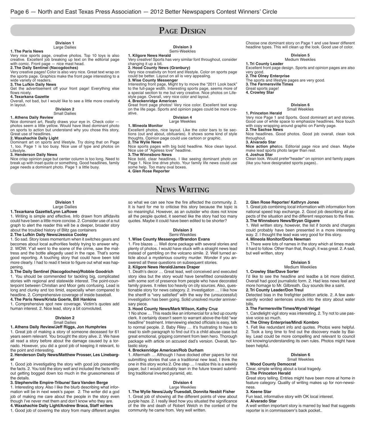# PAGE DESIGN

#### **Division 1** Large Dailies

#### **1. The Paris News**

Very nice sports page, creative photos. Top 10 toys is also creative. Excellent job breaking up text on the editorial page with comic. Front page — nice mast head.

**2. The Daily Sentinel (Nacogdoches)** Very creative pages! Color is also very nice. Great text wrap on

the sports page. Graphics make the front page interesting to a wide variety of readers. **3. The Lufkin Daily News**

Get the advertisement off your front page! Everything else flows nicely

#### **4. Texarkana Gazette**

Overall, not bad, but I would like to see a little more creativity in layout.

#### **Division 2** Small Dailies

#### **1. Athens Daily Review**

Nice dominant art, Really draws your eye in. Check color photos seem a little yellow. Would have liked dominant photo on sports to action but understand why you chose this story, Great use of headlines.

#### **2. Waxahachie Daily Light**

Dominant art on sports and lifestyle. Try doing that on Page 1, too. Page 1 is too busy. Nice use of type and photos on Lifestyle.

#### **3. Henderson Daily News**

Nice crisp opinion page but center column is too long. Need to break up with inset quote or something. Good headlines, family page needs a dominant photo. Page 1 a little busy.

#### **Division 3** Semi-Weeklies

**1. Kilgore News Herald**

Very creative! Sports has very similar font throughout, consider changing it up a bit.

**2. Hood County News (Granbury)**

Very nice creativity on front and lifestyle. Color on sports page could be better. Layout on all is very appealing.

#### **3. Wise County Messenger**

Interesting front page, Might try to move the "2011 Look back" to the full-page width. Interesting sports page, seems more of a special section to me but very creative. Nice photos on Lifestyle page. Overall, very nice color and layout. **4. Breckenridge American**

Great front page photos! Very nice color. Excellent text wrap on the life page. Sports and opinion pages could be more creative.

#### **Division 4** Large Weeklies

#### **1. Mineola Monitor**

Excellent photos, nice layout. Like the color bars to tie sections (out and about, obituaries). It shows some kind of style thoughts. Opinion page could use cartoon or graphic. **2. The Wylie News**

Nice sports pages with big bold headline. Nice clean layout. Nice use of "Ageless love" headline.

#### **3. The Winnsboro News**

Nice bold, clear headlines. I like seeing dominant photo on Page 1. Nice line drive photo. Your family life news could use some help. Too many oval boxes. **4. Glen Rose Reporter**

# NEWS WRITING

so what we can see how the fire affected the community. 2. It is hard for me to criticise this story because the topic is so meaningful. However, as an outsider who does not know all the people quoted, it seemed like the story had too many quotes. Maybe it could have been edited to be shorter?

#### **Division 3** Semi-Weeklies

#### **1. Wise County Messenger/Brandon Evans**

1. Fire blazes … Well done package with several stories and plenty of photos. I would have stuck with a straight news lead instead of gambling on the volcano simile. 2. Well turned article about a mysterious country murder. Wonder if you answered all these questions on subsequent stories.

#### **2. Kilgore News Herald/James Draper**

1. Death's decor … Great lead, well conceived and executed story idea but the story would have benefitted considerably with some sort of presence from people who have decorated family graves. It relies too heavily on city sources. Also, questionable story for news category. 2. Investigation … I like how the sheriff is "very satisfied" with the way the (unsuccessful) investigation has been going. Solid unsolved murder anniversary piece.

#### **3. Hood County News/Mark Wilson, Kathy Cruz**

1 No show … This reads like an infomercial for a fed up county clerk. It certainly doesn't seem to warrant above-the-fold "war headline" treatment. Interviewing elected officials is easy, talk to normal people. 2. Baby Riley … It's frustrating to have to read to sixth paragraph to find out it's a child abuse case but great emotional, gripping comment from teen hero. Thorough package with article on accused dad's version. Overall, fantastic story.

#### **4. Breckenridge American/Rob Durham**

1. Aftermath … Although I have docked other papers for not submitting stories that use a traditional new lead, I think the one in this story works 2. One step … I realize this is a weekly paper, but I would probably lean in the future toward submitting traditional inverted pyramid, etc.

### **Division 4**

#### Large Weeklies **1. The Wylie News/Judy Truesdall, Donnita Nesbit Fisher**

1. Great job of showing all the different points of view about purple haze. 2. I really liked how you situated the significance of the life and death of Robert Welch in the context of the community he came from. Very well written.

Choose one dominant story on Page 1 and use fewer different headline types. This will clean up the look. Good use of color.

### **Division 5**

#### Medium Weeklies

**1. Tri County Leader** Excellent front page design. Sports and opinion pages are also

very good.

**2. The Olney Enterprise**

The sports and lifestyle pages are very good.

**3. The Farmersville Times**

Great sports page!

**4. Crowley Star**

**1. Princeton Herald**

#### **Division 6**

### Small Weeklies

Very nice Page 1 and Sports. Good dominant art and stories. Good use of white space to emphasize headlines. Nice touch with copy wrapping around graphic on Family page.

**2. The Sachse News**

Nice headlines. Good photos. Good job overall, clean look throughout.

#### **3. Alvarado Star**

**Nice action pho**tos. Editorial page nice and clean. Maybe make lead sports photo larger than rest. **4. Joshua Star**

Clean look. Would prefer"header" on opinion and family pages (like you have designated sports pages)..

1. Great job combining local information with information from national speed trap exchange. 2. Good job describing all aspects of the situation and the different responses to the fires.

1. Well written story, however, the list if bonds and charges could probably have been presented in a more interesting way. 2. I thought the lead was very good for this story.

1. There were lots of names in the story which at times made it hard to follow. Other than that, though, it was great. 2. A sad,

> **Division 5** Medium Weeklies

#### **Division 1** Large Dailies

#### **1. Texarkana Gazette/Lynn LaRowe**

1. Writing is simple and effective. Info drawn from affidavits could have been a little more concise. 2. Consider use of a nut graph to alert the reader this will be a deeper, broader story about the troubled history of Blitz gas containers

#### **2. The Lufkin Daily News/Jessica Cooley**

1. So sad. Story loses momentum when it switches gears and becomes about local authorities feebly trying to answer why. 2. WOW. Y'all went to the scene of the crime, saw the mattress and the bottle allegedly used in the rape. That's some good reporting. A touching story that could have been told more clearly. I had to read it twice to figure out what was happening.

#### **3. The Daily Sentinel (Nacogdoches)/Robbie Goodrich**

1. You should be commended for tackling big, complicated stories with regional and statewide interest. The point-counterpoint between Christian and Moor gets confusing. Lead is long and clunky and too timid, especially when compared to headline. 2. Comprehensive coverage of inside baseball. **4. The Paris News/Krista Goerte, Bill Hankins**

1. Comprehensive spot new coverage. Victim's quotes add human interest. 2. Nice lead, story a bit convoluted.

#### **Division 2**

### Small Dailies

**1. Athens Daily Review/Jeff Riggs, Jon Humphries**

1. Great job of making a story of someone deceased for 61 years seem relevant. You brought the story alive. 2. We have all read a story before about the damage caused by a tornado. However, you did a good job of keeping it relevant, to the point and interesting.

#### **2. Henderson Daily News/Matthew Prosser, Les Linebarger**

1. Good job investigating the story with good job presenting the facts. 2. You told the story well and included the facts without getting bogged down too much in the gruesomeness of the details.

**3. Stephenville Empire-Tribune/ Sara Vanden Berge**

1. Interesting story. Also I like the blurb describing what information will be in next week's paper. 2. The writer did a god job of making me care about the people in the story even though I've never met them and don't know who they are. **4. Waxahachie Daily Light/Andrew Braca, Staff writers**

1. Good job of covering the story from many different angles

I'd like to see the headline and leadbe a bit more distinct. Overall had good journalistic form. 2. Had less news feel and more homage to Mr. Gilbreath. Guy sounds like a saint. **2. Tri County Leader/Don Treul**

**2. Glen Rose Reporter/ Kathryn Jones**

**3. The Winnsboro News/Bryan Giguere**

**4. Mineola Monitor/Doris Newman**

but well written, story

**1. Crowley Star/Dave Sorter**

Detected bias in the firefighter petition article. 2. A few awkwardly worded sentences snuck into the story about water bills.

#### **3. The Farmersville Times/Wyndi Veigel**

1. Candlelight vigil story was interesting. 2. Try not to use passive voice so much.

#### **4. The Olney Enterprise/Mindi Kombro**

1. Felt like redundant info and quotes. Photos were helpful. 2. Took a long time to find out the discovery made by Bailey. Lead could be more compelling and relevant to council not knowing/understanding its own rules. Photos might have been helpful.

#### **Division 6**

#### Small Weeklies

**1. Wood County Democrat**

#### Clear, simple writing about a local tragedy. **2. The Princeton Herald**

Great story telling. Entries might have been more at home in feature category. Quality of writing makes up for non-newsiness.

#### **3. Keene Star**

Fun lead, informative story with OK local interest. **4. Alvarado Star**

A well written important story is marred by lead that suggests reporter is in commissioenr's back pocket..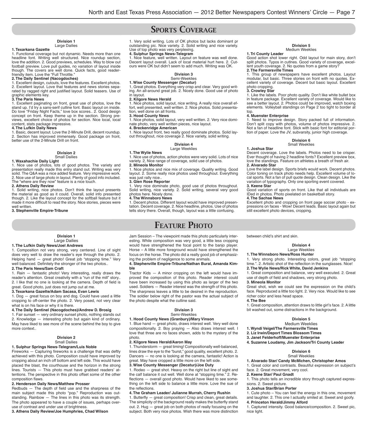# SPORTS COVERAGE

#### **Division 1**

### Large Dailies

1. Functional coverage but not dynamic. Needs more than one headline font. Writing well structured. Nice roundup section, love the addition. 2. Good previews, schedules. Way to blow out football preview. Love pull guides, no variation of layout inside though. The covers are well done. Quick facts, good reader-

### friendly item. Love the "Full Throttle." **2. The Daily Sentinel (Nacogdoches)**

1. Excellent design, cutouts, love the features. Excellent photos. 2. Excellent layout. Love that features and news stories separated by ragged right and justi ed layout. Solid teasers. Use of graphic elements key.

#### **3. The Paris News**

**1. Texarkana Gazette**

1. Excellent paginating on front, great use of photos, love the stand up. I'd try a sans-serif cutline font. Basic layout on inside. Do love "Friday Night Facts," love box scores.. 2. Good design concept on front. Keep theme up in the section. Strong previews, excellent choice of photos for section. Nice local, local content, stats package impressive.

#### **4. The Lufkin Daily News**

1. Basic, decent layout. Love the 2-Minute Drill, decent roundup. 2. Section has improved immensely. Good package on front, better use of the 2-Minute Drill on front.

#### **Division 2** Small Dailies

#### **1. Waxahachie Daily Light**

1. Nice use of photos, lots of good photos. The variety and presentation really made this entry stand out. Writing was very solid. The Q&A was a nice added feature. Very impressive work. 2. Nice use of large photo in layout. Plenty of good info included. The "where are they now" feature is a nice touch.

#### **2. Athens Daily Review**

1. Solid writing, nice photos. Don't think the layout presents the material as good as it could. Overall, solid info presented though. 2. Like the layout concept for the softball feature but it made it more difficult to read the story. Nice stories, pieces were well written.

**3. Stephenville Empire-Tribune**

#### **Division 1** Large Dailies

#### **1. The Lufkin Daily News/Joel Andrews**

1. Composition not very strong, very centered. Line of sight does very well to draw the reader's eye through the photo. 2. Helping hand — great photo! Great job "stopping time." Very well balanced. Definitely the stronger of the two photos..

#### **2. The Paris News/Sam Craft**

1. Rain — fantastic photo! Very interesting, really draws the reader's attention. Great creativity with a "run of the mill" story.. 2. I like that no one is looking at the camera. Depth of field is great. Good photo, just does not jump out at me. **3. Texarkana Gazette/Adam Sacasa, Evan Lewis**

1. Dog — great focus on boy and dog. Could have used a little cropping to off-center the photo. 2. Very posed, not very clear what is on his face or why it is there.

#### **4. The Daily Sentinel (Nacogdoches)/Andrew D. Brosig**

1. Fair sunset — very ordinary sunset photo, nothing stands out 2. Knowledge — interesting photo but again kind of ordinary.

May have liked to see more of the scene behind the boy to give more context..

#### **Division 2** Small Dailies

#### **1. Sulphur Springs News-Telegram/Luis Noble**

Fireworks  $-$  Capturing fireworks is a challenge that was deftly achieved with this photo. Composition could have improved by cropping about an inch off bottom and left side. This would have placed the blast, the courthouse and the horizon in the strong lines. Tourists — This photo must have grabbed readers' attentions. The perspective in this photo offset some of the other composition flaws.

#### **2. Henderson Daily News/Matthew Prosser**

Redbuds  $-$  The depth of field use and the sharpness of the main subject made this photo "pop." Reproduction was outstanding. Rainbow — The lines in this photo was its strength. The photo appeared to have a couple of issues, perhaps overuse of contrast and under use of brightness.

**3. Athens Daily Review/Joe Humphries, Chad Wilson**

1. Very solid writing. Lots of OK photos but lacks dominant pr outstanding pic. Nice variety. 2. Solid writing and nice variety. Use of top photo was very perplexing.

#### **4. Sulphur Springs News-Telegram**

1. Nice feature, well written. Layout on feature was well done. Decent layout overall. Lack of local material hurt here. 2. Cutours were OK but didn't seem to add much. Writing was OK.

#### **Division 3** Semi-Weeklies

**1. Wise County Messenger (Decatur)**

1, Great photos. Everything very crisp and clear. Very good writing. An all-around great job. 2. Nicely done. Good use of photo in layout.

#### **2. Kilgore News Herald**

1. Nice photos, solid layout, nice writing. A really nice overall effort, well presented, well written. 2. Nice photos. Solid presentation, well done on all fronts.

#### **3. Hood County News**

1. Nice photos, solid layout, very well written. 2. Very nice dominate photo, very well written pieces, nice layout.

#### **4. Breckenridge American**

1. Nice layout front, two really good dominate photos. Solid layout throughout, nice coverage 2. Nice variety, solid writing.

#### **Division 4** Large Weeklies

**1. The Wylie News**

1. Nice use of photos, action photos were very solid. Lots of nice variety. 2, Nice range of coverage, solid use of photos.

#### **2. Mineola Monitor**

1. Nice photos and nice mix of coverage. Quality writing. Good layout. 2. Some really nice photos used throughout. Everything was just rally nice..

#### **3. Glen Rose Reporter**

1. Very nice dominate photo, good use of photos throughout. Solid writing, nice variety. 2. Solid writing, several very good photos here. Nicely done.

#### **4. The Winnsboro News**

1. Decent photos. Different layout would have improved presentation. Decent coverage. 2. Nice headline, photos. Use of photos tells story there. Overall, though, layout was a little confusing.

### FEATURE PHOTO

Jam Session – The viewpoint made this photo particularly interesting. While composition was very good, a little less cropping would have strengthened the focal point to the banjo player. Horse – A little more foreground would have strengthened the focus on the horse. The photo did a really good job of emphasizing the problem of negligence to some animals.

#### **4. Stephenville Empire-Tribune/Nathan Bural, Amanda Kimble**

Tractor Kids — A minor cropping on the left would have improved the composition of this photo. Reader interest could have been increased by using this photo as larger of the two used. Soldiers — Reader interest was the strength of this photo. The sharpness leaves a little to be desired in the reproduction. The soldier below right of the pastor was the actual subject of the photo despite what the cutline said.

#### **Division 3** Semi-Weeklies

#### **1. Hood County News (Granbury)/Mary Vinson**

1. Blue hand — great photo, draws interest well. Very well done compositionally. 2. Boy praying — Also draws interest well. I love that three are no faces shown, adds to the mystery of the photo.

#### **2. Kilgore News Herald/Aaron May**

1. Thunderstorm — great timing! Compositionally well-balanced, lines draw the eye to the "burst," good quality, excellent photo. 2. Dancers — no one is looking at the camera, fantastic! Action is great. May have cropped a little more on the left side.

#### **3. Wise County Messenger (Decatur)/Joe Duty**

1. Rodeo — great shot. Heavy on the right but line of sight and the calf balance it out well. Well done at "stopping time." 2. Re flections - overall good photo. Would have liked to see something on the left side to balance a little more. Love the sue of the reflections

#### **4. The Graham Leader/ Julianne Murrah, Cherry Rushin**

1. Butterfly  $-$  great composition! Crisp and clean, great details. The simplicity of the background really makes the butterfly stand out. 2. Hug — great job on both photos of really focusing on the subject. Both very nice photos. Wish there was more distinction

#### **Division 5** Medium Weeklies

#### **1. Tri County Leader**

Good action shot lower right. Odd layout for main story, don't split photos. Typos in cutlnes. Good variety of coverage, excellent youth coverage. 2. No quotes from a game story? **2. The Farmersville Times**

1. This group of newspapers have excellent photos. Layout modular, but basic. Three stories on front with no quotes. Excellent variety of coverage. Decent but basic layout. Excellent photo cropping.

#### **3. Crowley Star**

1. Like the labels. Poor photo quality. Don't like white bullet box in feature package. Excellent variety of coverage. Would like to see a better layout. 2. Photos could be improved, watch boxing elements. Volleyball standings on Page 2 too tight to border at

### top. **4. Muenster Enterprise**

1. Need to improve design. Story packed full of information. Don't split copy with photos, volume of photos impressive. 2. Not a fan of headline font. Stick with basic font for editorial portion of paper. Love the JV, subvarsity, junior high coverage.

#### **Division 6**

#### Small Weeklies **1. Joshua Star**

Decent coverage. Love the labels. Photos need to be crisper. Ever thought of having 2 headline fonts? Excellent preview box, love the standings. Feature on athletes a breath of fresh air. **2. Alvarado Star**

Love the label design. Sports briefs would work. Decent photos. Color toning on track photo needs help. Excellent volume of local sports. Not a fan of pull quote design. Clean design. Like the variation of typography. Only one sporting event covered. **3. Keene Star**

Good variation of sports on front. Like that all individuals are IDed in photos. Photo pixelated on basketball story.

#### **4. The Sachse News**

Excellent photo and cropping on front page soccer photo - expressions on faces - Wow! Decent leads. Basic layout again but still excellent photo devices, cropping.

between child's shirt and skin.

#### **Division 4**

#### Large Weeklies

**1. The Winnsboro News/Ross Hunter** 1. Very strong photo. Interesting colors, great job "stopping time.". 2. Artistic shot of the reflection in the sunglasses. Nice!

#### **2. The Wylie News/Rick White, David Jenkins**

1. Great composition and balance, very well executed. 2. Great use of depth of field and shadows, very strong photo. **3. Mineola Monitor**

Great shot, wish we could see the expression on the child's face. Reproduced a little too light. 2. Very nice. Would like to see richer color and less head space.

#### **4. The Bee**

1. Great composition, attention draws to little girl's face. 2. A little bit washed out, some distractions in the background.

#### **Division 5**

#### Medium Weeklies

**1. Wyndi Veigel/The Farmersville Times**

**2. Liz Irwin/Deport Times Blossom Times**

face. 2. Great movement, very cool. **2. Keene Star/ Paul Gnadt**

**4. Princeton Herald/Jimmy Alford**

sions. 2. Sweet picture. **3. Joshua Star/Brian Porter**

nice light.

- **3. Janet Felderhoff/Muenster Enterprise**
- **4. Suzanne Loudamy, Jim Jackson/Tri County Leader**

**1. Alvarado Star/ Candy McMichen, Christopher Amos** 1. Great color and contrasts. Beautiful expression on subject's

#### **Division 6** Small Weeklies

1. This photo tells an incredible story through captured expres-

1. Cute photo – You can feel the energy in this one, movement and laughter. 2. This one I actually smiled at. Sweet and goofy.

1. Captured intensity. Good balance/composition. 2. Sweet pic,